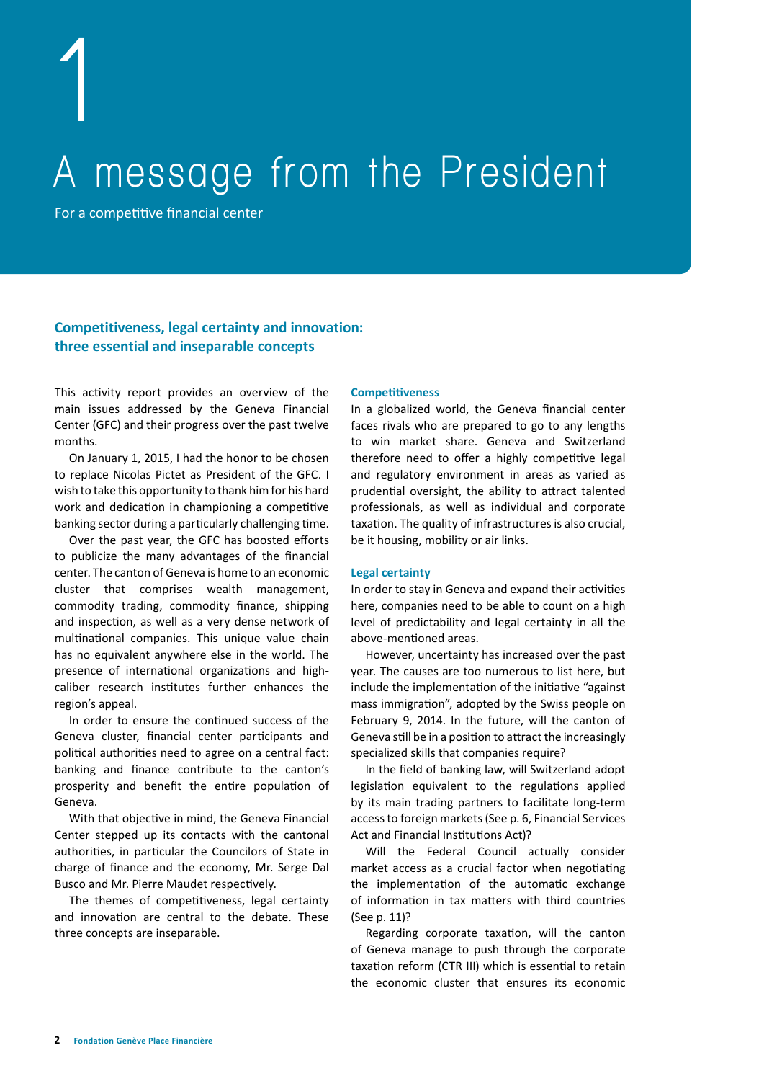**1**

# **A message from the President**

For a competitive financial center

## **Competitiveness, legal certainty and innovation: three essential and inseparable concepts**

This activity report provides an overview of the main issues addressed by the Geneva Financial Center (GFC) and their progress over the past twelve months.

On January 1, 2015, I had the honor to be chosen to replace Nicolas Pictet as President of the GFC. I wish to take this opportunity to thank him for his hard work and dedication in championing a competitive banking sector during a particularly challenging time.

Over the past year, the GFC has boosted efforts to publicize the many advantages of the financial center. The canton of Geneva is home to an economic cluster that comprises wealth management, commodity trading, commodity finance, shipping and inspection, as well as a very dense network of multinational companies. This unique value chain has no equivalent anywhere else in the world. The presence of international organizations and highcaliber research institutes further enhances the region's appeal.

In order to ensure the continued success of the Geneva cluster, financial center participants and political authorities need to agree on a central fact: banking and finance contribute to the canton's prosperity and benefit the entire population of Geneva.

With that objective in mind, the Geneva Financial Center stepped up its contacts with the cantonal authorities, in particular the Councilors of State in charge of finance and the economy, Mr. Serge Dal Busco and Mr. Pierre Maudet respectively.

The themes of competitiveness, legal certainty and innovation are central to the debate. These three concepts are inseparable.

### **Competitiveness**

In a globalized world, the Geneva financial center faces rivals who are prepared to go to any lengths to win market share. Geneva and Switzerland therefore need to offer a highly competitive legal and regulatory environment in areas as varied as prudential oversight, the ability to attract talented professionals, as well as individual and corporate taxation. The quality of infrastructures is also crucial, be it housing, mobility or air links.

#### **Legal certainty**

In order to stay in Geneva and expand their activities here, companies need to be able to count on a high level of predictability and legal certainty in all the above-mentioned areas.

However, uncertainty has increased over the past year. The causes are too numerous to list here, but include the implementation of the initiative "against mass immigration", adopted by the Swiss people on February 9, 2014. In the future, will the canton of Geneva still be in a position to attract the increasingly specialized skills that companies require?

In the field of banking law, will Switzerland adopt legislation equivalent to the regulations applied by its main trading partners to facilitate long-term access to foreign markets (See p. 6, Financial Services Act and Financial Institutions Act)?

Will the Federal Council actually consider market access as a crucial factor when negotiating the implementation of the automatic exchange of information in tax matters with third countries (See p. 11)?

Regarding corporate taxation, will the canton of Geneva manage to push through the corporate taxation reform (CTR III) which is essential to retain the economic cluster that ensures its economic